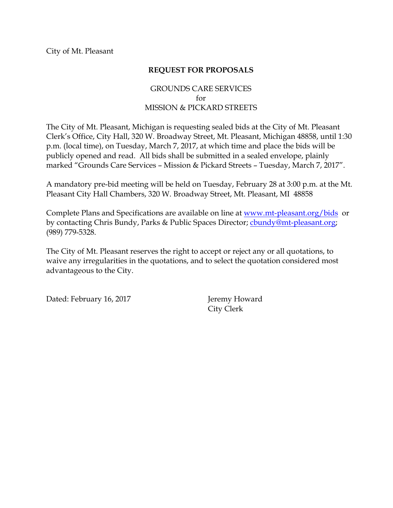# **REQUEST FOR PROPOSALS**

# GROUNDS CARE SERVICES for MISSION & PICKARD STREETS

The City of Mt. Pleasant, Michigan is requesting sealed bids at the City of Mt. Pleasant Clerk's Office, City Hall, 320 W. Broadway Street, Mt. Pleasant, Michigan 48858, until 1:30 p.m. (local time), on Tuesday, March 7, 2017, at which time and place the bids will be publicly opened and read. All bids shall be submitted in a sealed envelope, plainly marked "Grounds Care Services – Mission & Pickard Streets – Tuesday, March 7, 2017".

A mandatory pre-bid meeting will be held on Tuesday, February 28 at 3:00 p.m. at the Mt. Pleasant City Hall Chambers, 320 W. Broadway Street, Mt. Pleasant, MI 48858

Complete Plans and Specifications are available on line at [www.mt-pleasant.org/bids](http://www.mt-pleasant.org/bids) or by contacting Chris Bundy, Parks & Public Spaces Director; chundy@mt-pleasant.org; (989) 779-5328.

The City of Mt. Pleasant reserves the right to accept or reject any or all quotations, to waive any irregularities in the quotations, and to select the quotation considered most advantageous to the City.

Dated: February 16, 2017 Jeremy Howard

City Clerk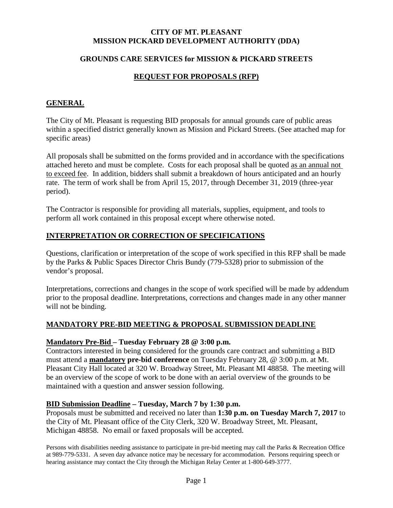#### **CITY OF MT. PLEASANT MISSION PICKARD DEVELOPMENT AUTHORITY (DDA)**

### **GROUNDS CARE SERVICES for MISSION & PICKARD STREETS**

# **REQUEST FOR PROPOSALS (RFP)**

### **GENERAL**

The City of Mt. Pleasant is requesting BID proposals for annual grounds care of public areas within a specified district generally known as Mission and Pickard Streets. (See attached map for specific areas)

All proposals shall be submitted on the forms provided and in accordance with the specifications attached hereto and must be complete. Costs for each proposal shall be quoted as an annual not to exceed fee. In addition, bidders shall submit a breakdown of hours anticipated and an hourly rate. The term of work shall be from April 15, 2017, through December 31, 2019 (three-year period).

The Contractor is responsible for providing all materials, supplies, equipment, and tools to perform all work contained in this proposal except where otherwise noted.

#### **INTERPRETATION OR CORRECTION OF SPECIFICATIONS**

Questions, clarification or interpretation of the scope of work specified in this RFP shall be made by the Parks & Public Spaces Director Chris Bundy (779-5328) prior to submission of the vendor's proposal.

Interpretations, corrections and changes in the scope of work specified will be made by addendum prior to the proposal deadline. Interpretations, corrections and changes made in any other manner will not be binding.

# **MANDATORY PRE-BID MEETING & PROPOSAL SUBMISSION DEADLINE**

#### **Mandatory Pre-Bid – Tuesday February 28 @ 3:00 p.m.**

Contractors interested in being considered for the grounds care contract and submitting a BID must attend a **mandatory pre-bid conference** on Tuesday February 28, @ 3:00 p.m. at Mt. Pleasant City Hall located at 320 W. Broadway Street, Mt. Pleasant MI 48858. The meeting will be an overview of the scope of work to be done with an aerial overview of the grounds to be maintained with a question and answer session following.

#### **BID Submission Deadline – Tuesday, March 7 by 1:30 p.m.**

Proposals must be submitted and received no later than **1:30 p.m. on Tuesday March 7, 2017** to the City of Mt. Pleasant office of the City Clerk, 320 W. Broadway Street, Mt. Pleasant, Michigan 48858. No email or faxed proposals will be accepted.

Persons with disabilities needing assistance to participate in pre-bid meeting may call the Parks & Recreation Office at 989-779-5331. A seven day advance notice may be necessary for accommodation. Persons requiring speech or hearing assistance may contact the City through the Michigan Relay Center at 1-800-649-3777.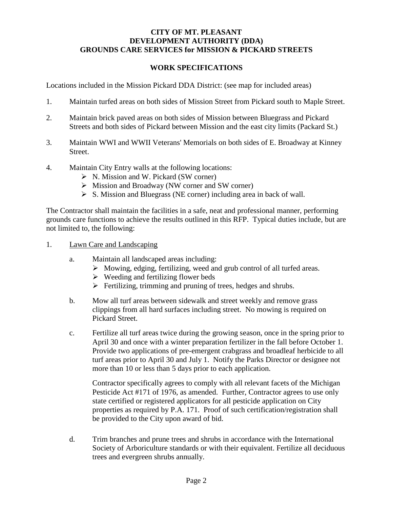#### **CITY OF MT. PLEASANT DEVELOPMENT AUTHORITY (DDA) GROUNDS CARE SERVICES for MISSION & PICKARD STREETS**

### **WORK SPECIFICATIONS**

Locations included in the Mission Pickard DDA District: (see map for included areas)

- 1. Maintain turfed areas on both sides of Mission Street from Pickard south to Maple Street.
- 2. Maintain brick paved areas on both sides of Mission between Bluegrass and Pickard Streets and both sides of Pickard between Mission and the east city limits (Packard St.)
- 3. Maintain WWI and WWII Veterans' Memorials on both sides of E. Broadway at Kinney Street.
- 4. Maintain City Entry walls at the following locations:
	- $\triangleright$  N. Mission and W. Pickard (SW corner)
	- $\triangleright$  Mission and Broadway (NW corner and SW corner)
	- $\triangleright$  S. Mission and Bluegrass (NE corner) including area in back of wall.

The Contractor shall maintain the facilities in a safe, neat and professional manner, performing grounds care functions to achieve the results outlined in this RFP. Typical duties include, but are not limited to, the following:

- 1. Lawn Care and Landscaping
	- a. Maintain all landscaped areas including:
		- Mowing, edging, fertilizing, weed and grub control of all turfed areas.
		- $\triangleright$  Weeding and fertilizing flower beds
		- $\triangleright$  Fertilizing, trimming and pruning of trees, hedges and shrubs.
	- b. Mow all turf areas between sidewalk and street weekly and remove grass clippings from all hard surfaces including street. No mowing is required on Pickard Street.
	- c. Fertilize all turf areas twice during the growing season, once in the spring prior to April 30 and once with a winter preparation fertilizer in the fall before October 1. Provide two applications of pre-emergent crabgrass and broadleaf herbicide to all turf areas prior to April 30 and July 1. Notify the Parks Director or designee not more than 10 or less than 5 days prior to each application.

Contractor specifically agrees to comply with all relevant facets of the Michigan Pesticide Act #171 of 1976, as amended. Further, Contractor agrees to use only state certified or registered applicators for all pesticide application on City properties as required by P.A. 171. Proof of such certification/registration shall be provided to the City upon award of bid.

d. Trim branches and prune trees and shrubs in accordance with the International Society of Arboriculture standards or with their equivalent. Fertilize all deciduous trees and evergreen shrubs annually.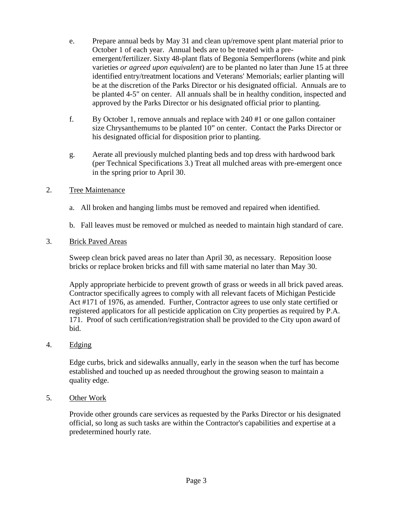- e. Prepare annual beds by May 31 and clean up/remove spent plant material prior to October 1 of each year. Annual beds are to be treated with a preemergent/fertilizer. Sixty 48-plant flats of Begonia Semperflorens (white and pink varieties *or agreed upon equivalent*) are to be planted no later than June 15 at three identified entry/treatment locations and Veterans' Memorials; earlier planting will be at the discretion of the Parks Director or his designated official. Annuals are to be planted 4-5" on center. All annuals shall be in healthy condition, inspected and approved by the Parks Director or his designated official prior to planting.
- f. By October 1, remove annuals and replace with 240 #1 or one gallon container size Chrysanthemums to be planted 10" on center. Contact the Parks Director or his designated official for disposition prior to planting.
- g. Aerate all previously mulched planting beds and top dress with hardwood bark (per Technical Specifications 3.) Treat all mulched areas with pre-emergent once in the spring prior to April 30.

# 2. Tree Maintenance

- a. All broken and hanging limbs must be removed and repaired when identified.
- b. Fall leaves must be removed or mulched as needed to maintain high standard of care.

### 3. Brick Paved Areas

Sweep clean brick paved areas no later than April 30, as necessary. Reposition loose bricks or replace broken bricks and fill with same material no later than May 30.

Apply appropriate herbicide to prevent growth of grass or weeds in all brick paved areas. Contractor specifically agrees to comply with all relevant facets of Michigan Pesticide Act #171 of 1976, as amended. Further, Contractor agrees to use only state certified or registered applicators for all pesticide application on City properties as required by P.A. 171. Proof of such certification/registration shall be provided to the City upon award of bid.

# 4. Edging

Edge curbs, brick and sidewalks annually, early in the season when the turf has become established and touched up as needed throughout the growing season to maintain a quality edge.

# 5. Other Work

Provide other grounds care services as requested by the Parks Director or his designated official, so long as such tasks are within the Contractor's capabilities and expertise at a predetermined hourly rate.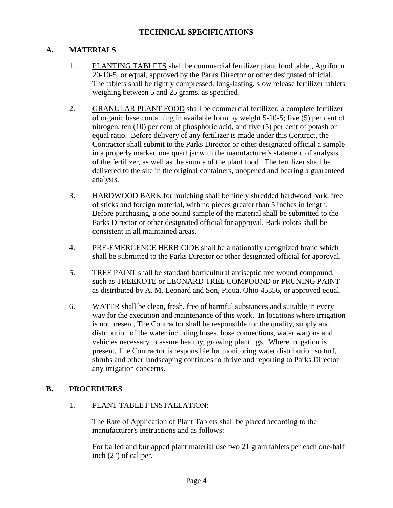# **TECHNICAL SPECIFICATIONS**

# **A. MATERIALS**

- 1. PLANTING TABLETS shall be commercial fertilizer plant food tablet, Agriform 20-10-5, or equal, approved by the Parks Director or other designated official. The tablets shall be tightly compressed, long-lasting, slow release fertilizer tablets weighing between 5 and 25 grams, as specified.
- 2. GRANULAR PLANT FOOD shall be commercial fertilizer, a complete fertilizer of organic base containing in available form by weight 5-10-5; five (5) per cent of nitrogen, ten (10) per cent of phosphoric acid, and five (5) per cent of potash or equal ratio. Before delivery of any fertilizer is made under this Contract, the Contractor shall submit to the Parks Director or other designated official a sample in a properly marked one quart jar with the manufacturer's statement of analysis of the fertilizer, as well as the source of the plant food. The fertilizer shall be delivered to the site in the original containers, unopened and bearing a guaranteed analysis.
- 3. HARDWOOD BARK for mulching shall be finely shredded hardwood bark, free of sticks and foreign material, with no pieces greater than 5 inches in length. Before purchasing, a one pound sample of the material shall be submitted to the Parks Director or other designated official for approval. Bark colors shall be consistent in all maintained areas.
- 4. PRE-EMERGENCE HERBICIDE shall be a nationally recognized brand which shall be submitted to the Parks Director or other designated official for approval.
- 5. TREE PAINT shall be standard horticultural antiseptic tree wound compound, such as TREEKOTE or LEONARD TREE COMPOUND or PRUNING PAINT as distributed by A. M. Leonard and Son, Piqua, Ohio 45356, or approved equal.
- 6. WATER shall be clean, fresh, free of harmful substances and suitable in every way for the execution and maintenance of this work. In locations where irrigation is not present, The Contractor shall be responsible for the quality, supply and distribution of the water including hoses, hose connections, water wagons and vehicles necessary to assure healthy, growing plantings. Where irrigation is present, The Contractor is responsible for monitoring water distribution so turf, shrubs and other landscaping continues to thrive and reporting to Parks Director any irrigation concerns.

# **B. PROCEDURES**

#### 1. PLANT TABLET INSTALLATION:

The Rate of Application of Plant Tablets shall be placed according to the manufacturer's instructions and as follows:

For balled and burlapped plant material use two 21 gram tablets per each one-half inch (2") of caliper.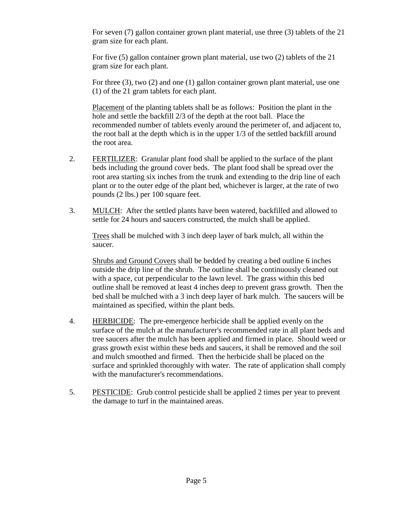For seven (7) gallon container grown plant material, use three (3) tablets of the 21 gram size for each plant.

For five (5) gallon container grown plant material, use two (2) tablets of the 21 gram size for each plant.

For three (3), two (2) and one (1) gallon container grown plant material, use one (1) of the 21 gram tablets for each plant.

Placement of the planting tablets shall be as follows: Position the plant in the hole and settle the backfill 2/3 of the depth at the root ball. Place the recommended number of tablets evenly around the perimeter of, and adjacent to, the root ball at the depth which is in the upper 1/3 of the settled backfill around the root area.

- 2. FERTILIZER: Granular plant food shall be applied to the surface of the plant beds including the ground cover beds. The plant food shall be spread over the root area starting six inches from the trunk and extending to the drip line of each plant or to the outer edge of the plant bed, whichever is larger, at the rate of two pounds (2 lbs.) per 100 square feet.
- 3. MULCH: After the settled plants have been watered, backfilled and allowed to settle for 24 hours and saucers constructed, the mulch shall be applied.

Trees shall be mulched with 3 inch deep layer of bark mulch, all within the saucer.

Shrubs and Ground Covers shall be bedded by creating a bed outline 6 inches outside the drip line of the shrub. The outline shall be continuously cleaned out with a space, cut perpendicular to the lawn level. The grass within this bed outline shall be removed at least 4 inches deep to prevent grass growth. Then the bed shall be mulched with a 3 inch deep layer of bark mulch. The saucers will be maintained as specified, within the plant beds.

- 4. HERBICIDE: The pre-emergence herbicide shall be applied evenly on the surface of the mulch at the manufacturer's recommended rate in all plant beds and tree saucers after the mulch has been applied and firmed in place. Should weed or grass growth exist within these beds and saucers, it shall be removed and the soil and mulch smoothed and firmed. Then the herbicide shall be placed on the surface and sprinkled thoroughly with water. The rate of application shall comply with the manufacturer's recommendations.
- 5. PESTICIDE: Grub control pesticide shall be applied 2 times per year to prevent the damage to turf in the maintained areas.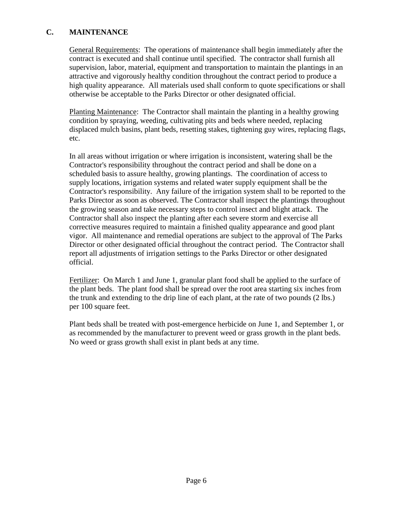# **C. MAINTENANCE**

General Requirements: The operations of maintenance shall begin immediately after the contract is executed and shall continue until specified. The contractor shall furnish all supervision, labor, material, equipment and transportation to maintain the plantings in an attractive and vigorously healthy condition throughout the contract period to produce a high quality appearance. All materials used shall conform to quote specifications or shall otherwise be acceptable to the Parks Director or other designated official.

Planting Maintenance: The Contractor shall maintain the planting in a healthy growing condition by spraying, weeding, cultivating pits and beds where needed, replacing displaced mulch basins, plant beds, resetting stakes, tightening guy wires, replacing flags, etc.

In all areas without irrigation or where irrigation is inconsistent, watering shall be the Contractor's responsibility throughout the contract period and shall be done on a scheduled basis to assure healthy, growing plantings. The coordination of access to supply locations, irrigation systems and related water supply equipment shall be the Contractor's responsibility. Any failure of the irrigation system shall to be reported to the Parks Director as soon as observed. The Contractor shall inspect the plantings throughout the growing season and take necessary steps to control insect and blight attack. The Contractor shall also inspect the planting after each severe storm and exercise all corrective measures required to maintain a finished quality appearance and good plant vigor. All maintenance and remedial operations are subject to the approval of The Parks Director or other designated official throughout the contract period. The Contractor shall report all adjustments of irrigation settings to the Parks Director or other designated official.

Fertilizer: On March 1 and June 1, granular plant food shall be applied to the surface of the plant beds. The plant food shall be spread over the root area starting six inches from the trunk and extending to the drip line of each plant, at the rate of two pounds (2 lbs.) per 100 square feet.

Plant beds shall be treated with post-emergence herbicide on June 1, and September 1, or as recommended by the manufacturer to prevent weed or grass growth in the plant beds. No weed or grass growth shall exist in plant beds at any time.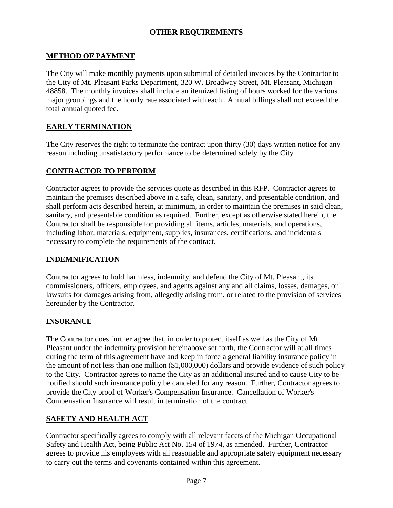# **OTHER REQUIREMENTS**

# **METHOD OF PAYMENT**

The City will make monthly payments upon submittal of detailed invoices by the Contractor to the City of Mt. Pleasant Parks Department, 320 W. Broadway Street, Mt. Pleasant, Michigan 48858. The monthly invoices shall include an itemized listing of hours worked for the various major groupings and the hourly rate associated with each. Annual billings shall not exceed the total annual quoted fee.

# **EARLY TERMINATION**

The City reserves the right to terminate the contract upon thirty (30) days written notice for any reason including unsatisfactory performance to be determined solely by the City.

# **CONTRACTOR TO PERFORM**

Contractor agrees to provide the services quote as described in this RFP. Contractor agrees to maintain the premises described above in a safe, clean, sanitary, and presentable condition, and shall perform acts described herein, at minimum, in order to maintain the premises in said clean, sanitary, and presentable condition as required. Further, except as otherwise stated herein, the Contractor shall be responsible for providing all items, articles, materials, and operations, including labor, materials, equipment, supplies, insurances, certifications, and incidentals necessary to complete the requirements of the contract.

# **INDEMNIFICATION**

Contractor agrees to hold harmless, indemnify, and defend the City of Mt. Pleasant, its commissioners, officers, employees, and agents against any and all claims, losses, damages, or lawsuits for damages arising from, allegedly arising from, or related to the provision of services hereunder by the Contractor.

# **INSURANCE**

The Contractor does further agree that, in order to protect itself as well as the City of Mt. Pleasant under the indemnity provision hereinabove set forth, the Contractor will at all times during the term of this agreement have and keep in force a general liability insurance policy in the amount of not less than one million (\$1,000,000) dollars and provide evidence of such policy to the City. Contractor agrees to name the City as an additional insured and to cause City to be notified should such insurance policy be canceled for any reason. Further, Contractor agrees to provide the City proof of Worker's Compensation Insurance. Cancellation of Worker's Compensation Insurance will result in termination of the contract.

# **SAFETY AND HEALTH ACT**

Contractor specifically agrees to comply with all relevant facets of the Michigan Occupational Safety and Health Act, being Public Act No. 154 of 1974, as amended. Further, Contractor agrees to provide his employees with all reasonable and appropriate safety equipment necessary to carry out the terms and covenants contained within this agreement.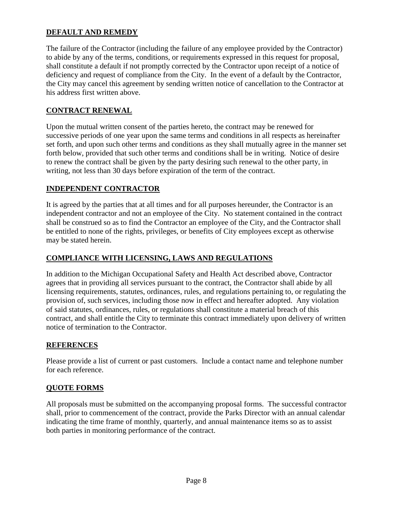# **DEFAULT AND REMEDY**

The failure of the Contractor (including the failure of any employee provided by the Contractor) to abide by any of the terms, conditions, or requirements expressed in this request for proposal, shall constitute a default if not promptly corrected by the Contractor upon receipt of a notice of deficiency and request of compliance from the City. In the event of a default by the Contractor, the City may cancel this agreement by sending written notice of cancellation to the Contractor at his address first written above.

# **CONTRACT RENEWAL**

Upon the mutual written consent of the parties hereto, the contract may be renewed for successive periods of one year upon the same terms and conditions in all respects as hereinafter set forth, and upon such other terms and conditions as they shall mutually agree in the manner set forth below, provided that such other terms and conditions shall be in writing. Notice of desire to renew the contract shall be given by the party desiring such renewal to the other party, in writing, not less than 30 days before expiration of the term of the contract.

# **INDEPENDENT CONTRACTOR**

It is agreed by the parties that at all times and for all purposes hereunder, the Contractor is an independent contractor and not an employee of the City. No statement contained in the contract shall be construed so as to find the Contractor an employee of the City, and the Contractor shall be entitled to none of the rights, privileges, or benefits of City employees except as otherwise may be stated herein.

# **COMPLIANCE WITH LICENSING, LAWS AND REGULATIONS**

In addition to the Michigan Occupational Safety and Health Act described above, Contractor agrees that in providing all services pursuant to the contract, the Contractor shall abide by all licensing requirements, statutes, ordinances, rules, and regulations pertaining to, or regulating the provision of, such services, including those now in effect and hereafter adopted. Any violation of said statutes, ordinances, rules, or regulations shall constitute a material breach of this contract, and shall entitle the City to terminate this contract immediately upon delivery of written notice of termination to the Contractor.

#### **REFERENCES**

Please provide a list of current or past customers. Include a contact name and telephone number for each reference.

#### **QUOTE FORMS**

All proposals must be submitted on the accompanying proposal forms. The successful contractor shall, prior to commencement of the contract, provide the Parks Director with an annual calendar indicating the time frame of monthly, quarterly, and annual maintenance items so as to assist both parties in monitoring performance of the contract.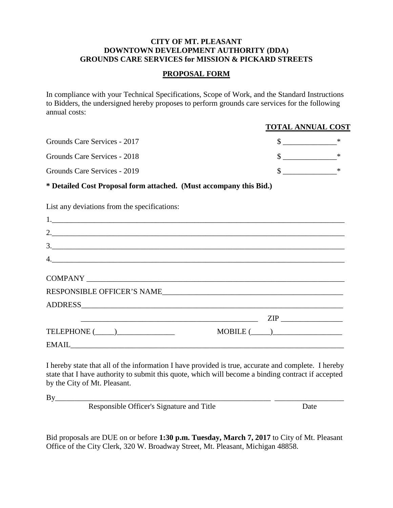#### **CITY OF MT. PLEASANT DOWNTOWN DEVELOPMENT AUTHORITY (DDA) GROUNDS CARE SERVICES for MISSION & PICKARD STREETS**

#### **PROPOSAL FORM**

In compliance with your Technical Specifications, Scope of Work, and the Standard Instructions to Bidders, the undersigned hereby proposes to perform grounds care services for the following annual costs:

### **TOTAL ANNUAL COST**

| Grounds Care Services - 2017 |  |
|------------------------------|--|
| Grounds Care Services - 2018 |  |
| Grounds Care Services - 2019 |  |

**\* Detailed Cost Proposal form attached. (Must accompany this Bid.)**

| List any deviations from the specifications:                |                |
|-------------------------------------------------------------|----------------|
|                                                             |                |
| $\begin{array}{c}\n2. & \phantom{2} \\ \hline\n\end{array}$ |                |
| $\frac{3}{2}$                                               |                |
| 4.                                                          |                |
|                                                             |                |
| RESPONSIBLE OFFICER'S NAME                                  |                |
|                                                             |                |
|                                                             | ZIP            |
|                                                             | $MOBILE(\_\_)$ |
|                                                             |                |

I hereby state that all of the information I have provided is true, accurate and complete. I hereby state that I have authority to submit this quote, which will become a binding contract if accepted by the City of Mt. Pleasant.

By\_\_\_\_\_\_\_\_\_\_\_\_\_\_\_\_\_\_\_\_\_\_\_\_\_\_\_\_\_\_\_\_\_\_\_\_\_\_\_\_\_\_\_\_\_\_\_\_\_\_\_\_\_\_\_\_ \_\_\_\_\_\_\_\_\_\_\_\_\_\_\_\_\_\_

Responsible Officer's Signature and Title Date

Bid proposals are DUE on or before **1:30 p.m. Tuesday, March 7, 2017** to City of Mt. Pleasant Office of the City Clerk, 320 W. Broadway Street, Mt. Pleasant, Michigan 48858.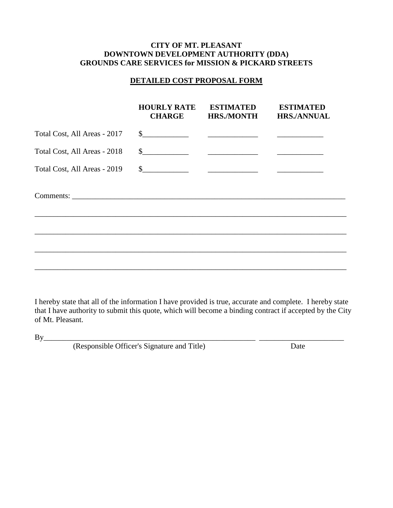#### **CITY OF MT. PLEASANT DOWNTOWN DEVELOPMENT AUTHORITY (DDA) GROUNDS CARE SERVICES for MISSION & PICKARD STREETS**

### **DETAILED COST PROPOSAL FORM**

|                              | <b>HOURLY RATE</b><br><b>CHARGE</b> | <b>ESTIMATED</b><br><b>HRS./MONTH</b> | <b>ESTIMATED</b><br><b>HRS./ANNUAL</b> |
|------------------------------|-------------------------------------|---------------------------------------|----------------------------------------|
| Total Cost, All Areas - 2017 |                                     |                                       |                                        |
| Total Cost, All Areas - 2018 |                                     |                                       |                                        |
| Total Cost, All Areas - 2019 |                                     |                                       |                                        |
|                              |                                     |                                       |                                        |
|                              |                                     |                                       |                                        |
|                              |                                     |                                       |                                        |
|                              |                                     |                                       |                                        |

I hereby state that all of the information I have provided is true, accurate and complete. I hereby state that I have authority to submit this quote, which will become a binding contract if accepted by the City of Mt. Pleasant.

By\_\_\_\_\_\_\_\_\_\_\_\_\_\_\_\_\_\_\_\_\_\_\_\_\_\_\_\_\_\_\_\_\_\_\_\_\_\_\_\_\_\_\_\_\_\_\_\_\_\_\_\_\_\_\_ \_\_\_\_\_\_\_\_\_\_\_\_\_\_\_\_\_\_\_\_\_\_

| (Responsible Officer's Signature and Title) | Date |
|---------------------------------------------|------|
|                                             |      |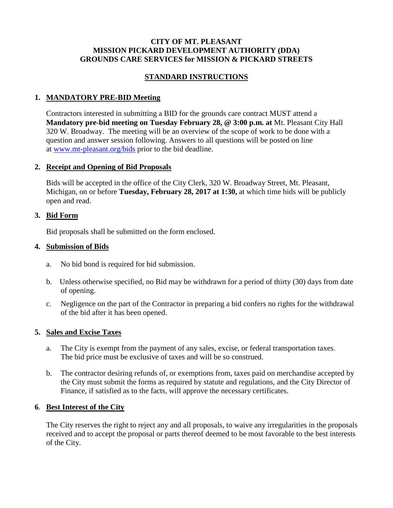#### **CITY OF MT. PLEASANT MISSION PICKARD DEVELOPMENT AUTHORITY (DDA) GROUNDS CARE SERVICES for MISSION & PICKARD STREETS**

### **STANDARD INSTRUCTIONS**

### **1. MANDATORY PRE-BID Meeting**

Contractors interested in submitting a BID for the grounds care contract MUST attend a **Mandatory pre-bid meeting on Tuesday February 28, @ 3:00 p.m. at** Mt. Pleasant City Hall 320 W. Broadway. The meeting will be an overview of the scope of work to be done with a question and answer session following. Answers to all questions will be posted on line at [www.mt-pleasant.org/bids](http://www.mt-pleasant.org/bids) prior to the bid deadline.

#### **2. Receipt and Opening of Bid Proposals**

Bids will be accepted in the office of the City Clerk, 320 W. Broadway Street, Mt. Pleasant, Michigan, on or before **Tuesday, February 28, 2017 at 1:30,** at which time bids will be publicly open and read.

### **3. Bid Form**

Bid proposals shall be submitted on the form enclosed.

### **4. Submission of Bids**

- a. No bid bond is required for bid submission.
- b. Unless otherwise specified, no Bid may be withdrawn for a period of thirty (30) days from date of opening.
- c. Negligence on the part of the Contractor in preparing a bid confers no rights for the withdrawal of the bid after it has been opened.

#### **5. Sales and Excise Taxes**

- a. The City is exempt from the payment of any sales, excise, or federal transportation taxes. The bid price must be exclusive of taxes and will be so construed.
- b. The contractor desiring refunds of, or exemptions from, taxes paid on merchandise accepted by the City must submit the forms as required by statute and regulations, and the City Director of Finance, if satisfied as to the facts, will approve the necessary certificates.

#### **6**. **Best Interest of the City**

The City reserves the right to reject any and all proposals, to waive any irregularities in the proposals received and to accept the proposal or parts thereof deemed to be most favorable to the best interests of the City.